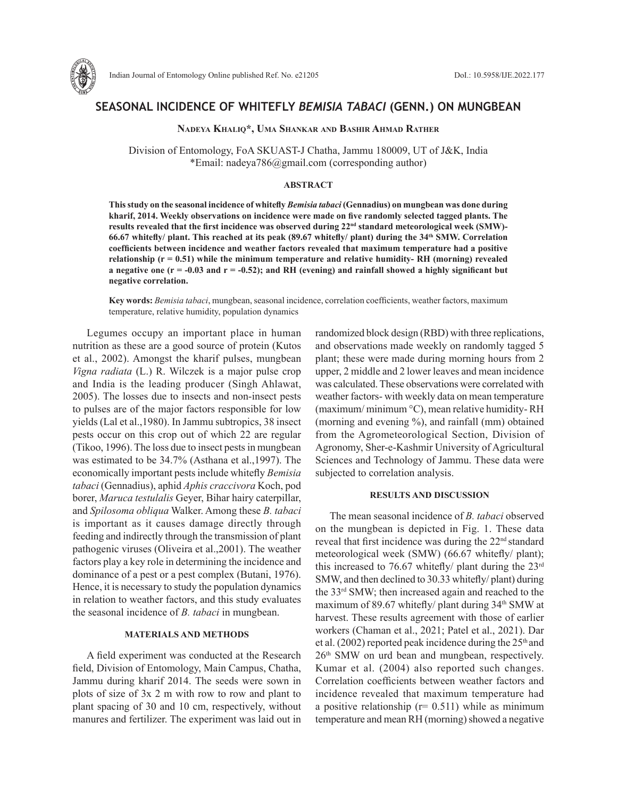

# **SEASONAL INCIDENCE OF WHITEFLY** *BEMISIA TABACI* **(GENN.) ON MUNGBEAN**

**Nadeya Khaliq\*, Uma Shankar and Bashir Ahmad Rather**

Division of Entomology, FoA SKUAST-J Chatha, Jammu 180009, UT of J&K, India \*Email: nadeya786@gmail.com (corresponding author)

# **ABSTRACT**

**This study on the seasonal incidence of whitefly** *Bemisia tabaci* **(Gennadius) on mungbean was done during kharif, 2014. Weekly observations on incidence were made on five randomly selected tagged plants. The**  results revealed that the first incidence was observed during 22<sup>nd</sup> standard meteorological week (SMW)-**66.67 whitefly/ plant. This reached at its peak (89.67 whitefly/ plant) during the 34th SMW. Correlation coefficients between incidence and weather factors revealed that maximum temperature had a positive relationship (r = 0.51) while the minimum temperature and relative humidity- RH (morning) revealed**  a negative one  $(r = -0.03$  and  $r = -0.52)$ ; and RH (evening) and rainfall showed a highly significant but **negative correlation.** 

**Key words:** *Bemisia tabaci*, mungbean, seasonal incidence, correlation coefficients, weather factors, maximum temperature, relative humidity, population dynamics

Legumes occupy an important place in human nutrition as these are a good source of protein (Kutos et al., 2002). Amongst the kharif pulses, mungbean *Vigna radiata* (L.) R. Wilczek is a major pulse crop and India is the leading producer (Singh Ahlawat, 2005). The losses due to insects and non-insect pests to pulses are of the major factors responsible for low yields (Lal et al.,1980). In Jammu subtropics, 38 insect pests occur on this crop out of which 22 are regular (Tikoo, 1996). The loss due to insect pests in mungbean was estimated to be 34.7% (Asthana et al.,1997). The economically important pests include whitefly *Bemisia tabaci* (Gennadius), aphid *Aphis craccivora* Koch, pod borer, *Maruca testulalis* Geyer, Bihar hairy caterpillar, and *Spilosoma obliqua* Walker. Among these *B. tabaci* is important as it causes damage directly through feeding and indirectly through the transmission of plant pathogenic viruses (Oliveira et al.,2001). The weather factors play a key role in determining the incidence and dominance of a pest or a pest complex (Butani, 1976). Hence, it is necessary to study the population dynamics in relation to weather factors, and this study evaluates the seasonal incidence of *B. tabaci* in mungbean.

### **MATERIALS AND METHODS**

A field experiment was conducted at the Research field, Division of Entomology, Main Campus, Chatha, Jammu during kharif 2014. The seeds were sown in plots of size of 3x 2 m with row to row and plant to plant spacing of 30 and 10 cm, respectively, without manures and fertilizer. The experiment was laid out in randomized block design (RBD) with three replications, and observations made weekly on randomly tagged 5 plant; these were made during morning hours from 2 upper, 2 middle and 2 lower leaves and mean incidence was calculated. These observations were correlated with weather factors- with weekly data on mean temperature (maximum/ minimum °C), mean relative humidity- RH (morning and evening %), and rainfall (mm) obtained from the Agrometeorological Section, Division of Agronomy, Sher-e-Kashmir University of Agricultural Sciences and Technology of Jammu. These data were subjected to correlation analysis.

### **RESULTS AND DISCUSSION**

The mean seasonal incidence of *B. tabaci* observed on the mungbean is depicted in Fig. 1. These data reveal that first incidence was during the 22nd standard meteorological week (SMW) (66.67 whitefly/ plant); this increased to 76.67 whitefly/ plant during the  $23<sup>rd</sup>$ SMW, and then declined to 30.33 whitefly/ plant) during the 33rd SMW; then increased again and reached to the maximum of 89.67 whitefly/ plant during 34th SMW at harvest. These results agreement with those of earlier workers (Chaman et al., 2021; Patel et al., 2021). Dar et al. (2002) reported peak incidence during the  $25<sup>th</sup>$  and 26th SMW on urd bean and mungbean, respectively. Kumar et al. (2004) also reported such changes. Correlation coefficients between weather factors and incidence revealed that maximum temperature had a positive relationship ( $r= 0.511$ ) while as minimum temperature and mean RH (morning) showed a negative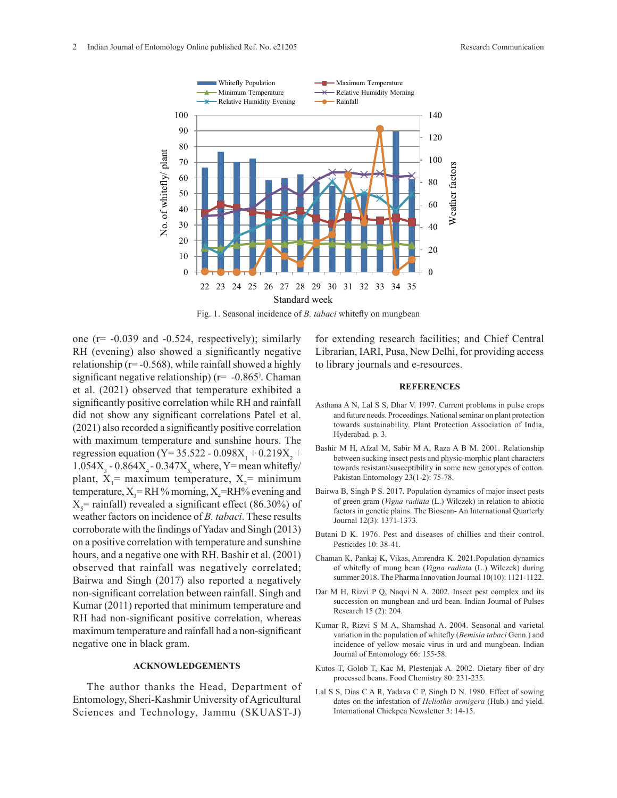

Fig. 1. Seasonal incidence of *B. tabaci* whitefly on mungbean

one  $(r = -0.039$  and  $-0.524$ , respectively); similarly RH (evening) also showed a significantly negative relationship ( $r = -0.568$ ), while rainfall showed a highly significant negative relationship) (r= -0.865) . Chaman et al. (2021) observed that temperature exhibited a significantly positive correlation while RH and rainfall did not show any significant correlations Patel et al. (2021) also recorded a significantly positive correlation with maximum temperature and sunshine hours. The regression equation (Y= 35.522 - 0.098 $X_1 + 0.219X_2 +$ 1.054 $X_3$  - 0.864 $X_4$  - 0.347 $X_5$ , where, Y = mean whitefly/ plant,  $X_1$ = maximum temperature,  $X_2$ = minimum temperature,  $X_3$ =RH% morning,  $X_4$ =RH% evening and  $X_s$ = rainfall) revealed a significant effect (86.30%) of weather factors on incidence of *B. tabaci*. These results corroborate with the findings of Yadav and Singh (2013) on a positive correlation with temperature and sunshine hours, and a negative one with RH. Bashir et al. (2001) observed that rainfall was negatively correlated; Bairwa and Singh (2017) also reported a negatively non-significant correlation between rainfall. Singh and Kumar (2011) reported that minimum temperature and RH had non-significant positive correlation, whereas maximum temperature and rainfall had a non-significant negative one in black gram.

# **ACKNOWLEDGEMENTS**

The author thanks the Head, Department of Entomology, Sheri-Kashmir University of Agricultural Sciences and Technology, Jammu (SKUAST-J)

for extending research facilities; and Chief Central Librarian, IARI, Pusa, New Delhi, for providing access to library journals and e-resources.

#### **REFERENCES**

- Asthana A N, Lal S S, Dhar V. 1997. Current problems in pulse crops and future needs. Proceedings. National seminar on plant protection towards sustainability. Plant Protection Association of India, Hyderabad. p. 3.
- Bashir M H, Afzal M, Sabir M A, Raza A B M. 2001. Relationship between sucking insect pests and physic-morphic plant characters towards resistant/susceptibility in some new genotypes of cotton. Pakistan Entomology 23(1-2): 75-78.
- Bairwa B, Singh P S. 2017. Population dynamics of major insect pests of green gram (*Vigna radiata* (L.) Wilczek) in relation to abiotic factors in genetic plains. The Bioscan- An International Quarterly Journal 12(3): 1371-1373.
- Butani D K. 1976. Pest and diseases of chillies and their control. Pesticides 10: 38-41.
- Chaman K, Pankaj K, Vikas, Amrendra K. 2021.Population dynamics of whitefly of mung bean (*Vigna radiata* (L.) Wilczek) during summer 2018. The Pharma Innovation Journal 10(10): 1121-1122.
- Dar M H, Rizvi P Q, Naqvi N A. 2002. Insect pest complex and its succession on mungbean and urd bean. Indian Journal of Pulses Research 15 (2): 204.
- Kumar R, Rizvi S M A, Shamshad A. 2004. Seasonal and varietal variation in the population of whitefly (*Bemisia tabaci* Genn.) and incidence of yellow mosaic virus in urd and mungbean. Indian Journal of Entomology 66: 155-58.
- Kutos T, Golob T, Kac M, Plestenjak A. 2002. Dietary fiber of dry processed beans. Food Chemistry 80: 231-235.
- Lal S S, Dias C A R, Yadava C P, Singh D N. 1980. Effect of sowing S, Dias C A K, Yadava C P, Singh D N. 1980. Effect of sowing dates on the infestation of *Heliothis armigera* (Hub.) and yield. International Chickpea Newsletter 3: 14-15.